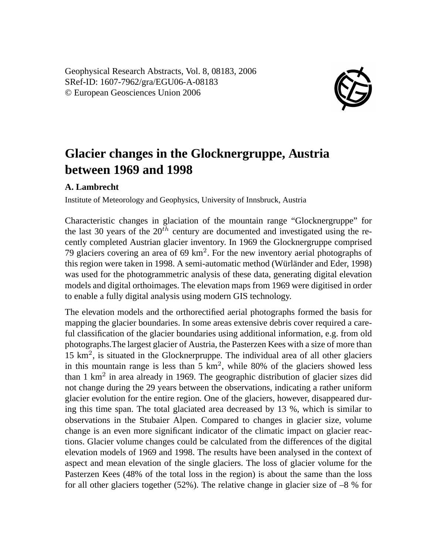Geophysical Research Abstracts, Vol. 8, 08183, 2006 SRef-ID: 1607-7962/gra/EGU06-A-08183 © European Geosciences Union 2006



## **Glacier changes in the Glocknergruppe, Austria between 1969 and 1998**

## **A. Lambrecht**

Institute of Meteorology and Geophysics, University of Innsbruck, Austria

Characteristic changes in glaciation of the mountain range "Glocknergruppe" for the last 30 years of the  $20^{th}$  century are documented and investigated using the recently completed Austrian glacier inventory. In 1969 the Glocknergruppe comprised 79 glaciers covering an area of  $69 \text{ km}^2$ . For the new inventory aerial photographs of this region were taken in 1998. A semi-automatic method (Würländer and Eder, 1998) was used for the photogrammetric analysis of these data, generating digital elevation models and digital orthoimages. The elevation maps from 1969 were digitised in order to enable a fully digital analysis using modern GIS technology.

The elevation models and the orthorectified aerial photographs formed the basis for mapping the glacier boundaries. In some areas extensive debris cover required a careful classification of the glacier boundaries using additional information, e.g. from old photographs.The largest glacier of Austria, the Pasterzen Kees with a size of more than 15 km<sup>2</sup> , is situated in the Glocknerpruppe. The individual area of all other glaciers in this mountain range is less than  $5 \text{ km}^2$ , while 80% of the glaciers showed less than 1 km<sup>2</sup> in area already in 1969. The geographic distribution of glacier sizes did not change during the 29 years between the observations, indicating a rather uniform glacier evolution for the entire region. One of the glaciers, however, disappeared during this time span. The total glaciated area decreased by 13 %, which is similar to observations in the Stubaier Alpen. Compared to changes in glacier size, volume change is an even more significant indicator of the climatic impact on glacier reactions. Glacier volume changes could be calculated from the differences of the digital elevation models of 1969 and 1998. The results have been analysed in the context of aspect and mean elevation of the single glaciers. The loss of glacier volume for the Pasterzen Kees (48% of the total loss in the region) is about the same than the loss for all other glaciers together (52%). The relative change in glacier size of –8 % for